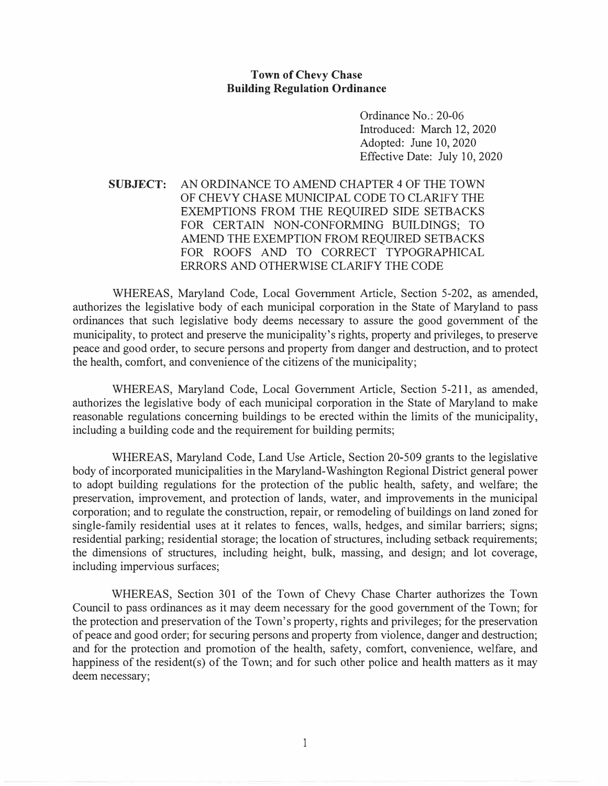## **Town of Chevy Chase Building Regulation Ordinance**

Ordinance No.: 20-06 Introduced: March 12, 2020 Adopted: June 10, 2020 Effective Date: July 10, 2020

## **SUBJECT:** AN ORDINANCE TO AMEND CHAPTER 4 OF THE TOWN OF CHEVY CHASE MUNICIPAL CODE TO CLARIFY THE EXEMPTIONS FROM THE REQUIRED SIDE SETBACKS FOR CERTAIN NON-CONFORMING BUILDINGS; TO AMEND THE EXEMPTION FROM REQUIRED SETBACKS FOR ROOFS AND TO CORRECT TYPOGRAPHICAL ERRORS AND OTHERWISE CLARIFY THE CODE

WHEREAS, Maryland Code, Local Government Article, Section 5-202, as amended, authorizes the legislative body of each municipal corporation in the State of Maryland to pass ordinances that such legislative body deems necessary to assure the good government of the municipality, to protect and preserve the municipality's rights, property and privileges, to preserve peace and good order, to secure persons and property from danger and destruction, and to protect the health, comfort, and convenience of the citizens of the municipality;

WHEREAS, Maryland Code, Local Government Article, Section 5-211, as amended, authorizes the legislative body of each municipal corporation in the State of Maryland to make reasonable regulations concerning buildings to be erected within the limits of the municipality, including a building code and the requirement for building permits;

WHEREAS, Maryland Code, Land Use Article, Section 20-509 grants to the legislative body of incorporated municipalities in the Maryland-Washington Regional District general power to adopt building regulations for the protection of the public health, safety, and welfare; the preservation, improvement, and protection of lands, water, and improvements in the municipal corporation; and to regulate the construction, repair, or remodeling of buildings on land zoned for single-family residential uses at it relates to fences, walls, hedges, and similar barriers; signs; residential parking; residential storage; the location of structures, including setback requirements; the dimensions of structures, including height, bulk, massing, and design; and lot coverage, including impervious surfaces;

WHEREAS, Section 301 of the Town of Chevy Chase Charter authorizes the Town Council to pass ordinances as it may deem necessary for the good government of the Town; for the protection and preservation of the Town's property, rights and privileges; for the preservation of peace and good order; for securing persons and property from violence, danger and destruction; and for the protection and promotion of the health, safety, comfort, convenience, welfare, and happiness of the resident(s) of the Town; and for such other police and health matters as it may deem necessary;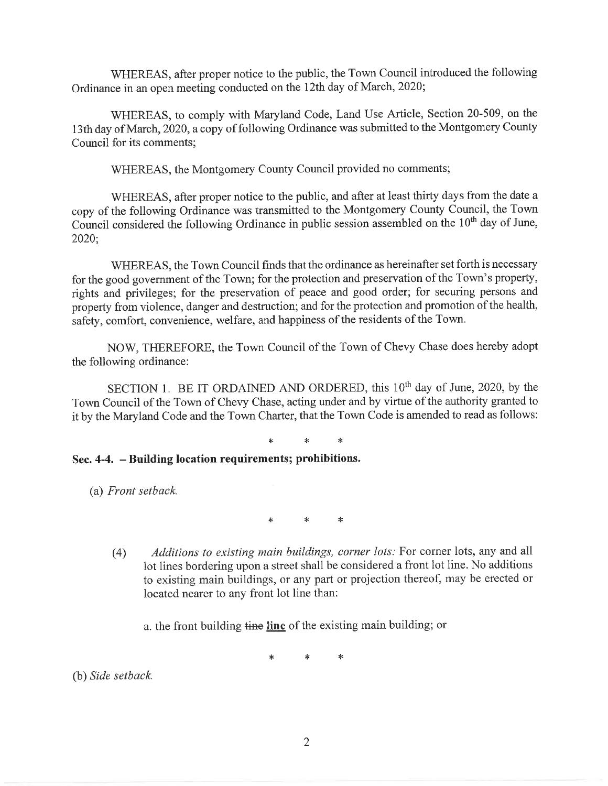WHEREAS, after proper notice to the public, the Town Council introduced the following Ordinance in an open meeting conducted on the 12th day of March, 2020;

WHEREAS, to comply with Maryland Code, Land Use Article, Section 20-509, on the 13th day of March, 2020, a copy of following Ordinance was submitted to the Montgomery County Council for its comments;

WHEREAS, the Montgomery County Council provided no comments;

WHEREAS, after proper notice to the public, and after at least thirty days from the date a copy of the following Ordinance was transmitted to the Montgomery County Council, the Town Council considered the following Ordinance in public session assembled on the 10<sup>th</sup> day of June, 2020;

WHEREAS, the Town Council finds that the ordinance as hereinafter set forth is necessary for the good government of the Town; for the protection and preservation of the Town's property, rights and privileges; for the preservation of peace and good order; for securing persons and property from violence, danger and destruction; and for the protection and promotion of the health, safety, comfort, convenience, welfare, and happiness of the residents of the Town.

NOW, THEREFORE, the Town Council of the Town of Chevy Chase does hereby adopt the following ordinance:

SECTION 1. BE IT ORDAINED AND ORDERED, this 10<sup>th</sup> day of June, 2020, by the Town Council of the Town of Chevy Chase, acting under and by virtue of the authority granted to it by the Maryland Code and the Town Charter, that the Town Code is amended to read as follows:

## Sec. 4-4. - Building location requirements; prohibitions.

(a) Front setback.

\*

- Additions to existing main buildings, corner lots: For corner lots, any and all  $(4)$ lot lines bordering upon a street shall be considered a front lot line. No additions to existing main buildings, or any part or projection thereof, may be erected or located nearer to any front lot line than:
	- a, the front building time line of the existing main building; or

 $\ast$  $\ast$ 

(b) Side setback.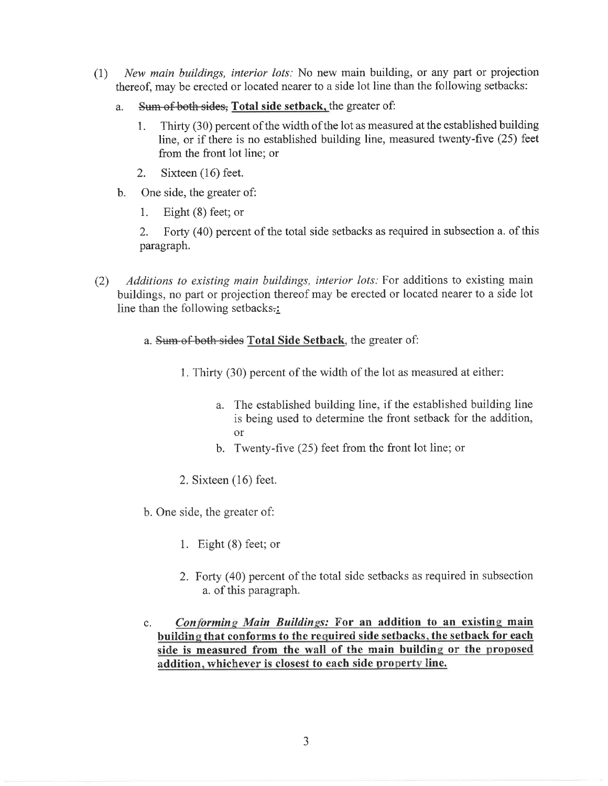- New main buildings, interior lots: No new main building, or any part or projection  $(1)$ thereof, may be erected or located nearer to a side lot line than the following setbacks:
	- Sum of both sides, Total side setback, the greater of: a.
		- Thirty (30) percent of the width of the lot as measured at the established building 1. line, or if there is no established building line, measured twenty-five (25) feet from the front lot line; or
		- Sixteen  $(16)$  feet. 2.
	- One side, the greater of:  $\mathbf{b}$ .
		- 1. Eight  $(8)$  feet; or

Forty (40) percent of the total side setbacks as required in subsection a. of this 2. paragraph.

- Additions to existing main buildings, interior lots: For additions to existing main  $(2)$ buildings, no part or projection thereof may be erected or located nearer to a side lot line than the following setbacks.:
	- a. Sum of both sides Total Side Setback, the greater of:
		- 1. Thirty (30) percent of the width of the lot as measured at either:
			- a. The established building line, if the established building line is being used to determine the front setback for the addition,  $\alpha r$
			- b. Twenty-five  $(25)$  feet from the front lot line; or
		- 2. Sixteen  $(16)$  feet.
	- b. One side, the greater of:
		- 1. Eight  $(8)$  feet; or
		- 2. Forty (40) percent of the total side setbacks as required in subsection a. of this paragraph.
	- Conforming Main Buildings: For an addition to an existing main  $\mathbf{c}$ . building that conforms to the required side setbacks, the setback for each side is measured from the wall of the main building or the proposed addition, whichever is closest to each side property line.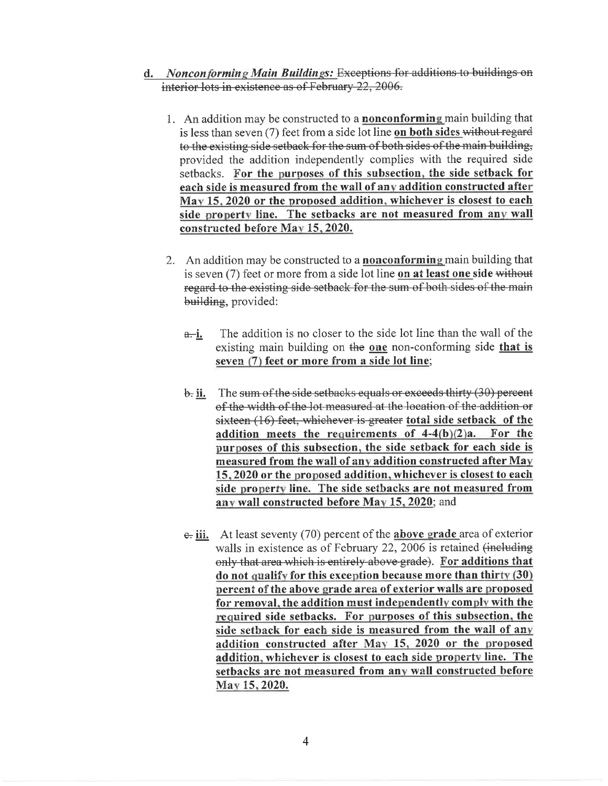- d. Nonconforming Main Buildings: Exceptions for additions to buildings on interior lots in existence as of February 22, 2006.
	- 1. An addition may be constructed to a **nonconforming** main building that is less than seven (7) feet from a side lot line on both sides without regard to the existing side setback for the sum of both sides of the main building, provided the addition independently complies with the required side setbacks. For the purposes of this subsection, the side setback for each side is measured from the wall of any addition constructed after May 15, 2020 or the proposed addition, whichever is closest to each side property line. The setbacks are not measured from any wall constructed before May 15, 2020.
	- 2. An addition may be constructed to a **nonconforming** main building that is seven (7) feet or more from a side lot line on at least one side without regard to the existing side setback for the sum of both sides of the main building, provided:
		- The addition is no closer to the side lot line than the wall of the <del>a.</del>i. existing main building on the one non-conforming side that is seven (7) feet or more from a side lot line;
		- The sum of the side setbacks equals or exceeds thirty (30) percent <del>b.</del> ii. of the width of the lot measured at the location of the addition or sixteen (16) feet, whichever is greater total side setback of the addition meets the requirements of  $4-4(b)(2)a$ . For the purposes of this subsection, the side setback for each side is measured from the wall of any addition constructed after May 15, 2020 or the proposed addition, whichever is closest to each side property line. The side setbacks are not measured from any wall constructed before May 15, 2020; and
		- $\epsilon$  iii. At least seventy (70) percent of the **above grade** area of exterior walls in existence as of February 22, 2006 is retained (including only that area which is entirely above grade). For additions that do not qualify for this exception because more than thirty (30) percent of the above grade area of exterior walls are proposed for removal, the addition must independently comply with the required side setbacks. For purposes of this subsection, the side setback for each side is measured from the wall of any addition constructed after May 15, 2020 or the proposed addition, whichever is closest to each side property line. The setbacks are not measured from any wall constructed before May 15, 2020.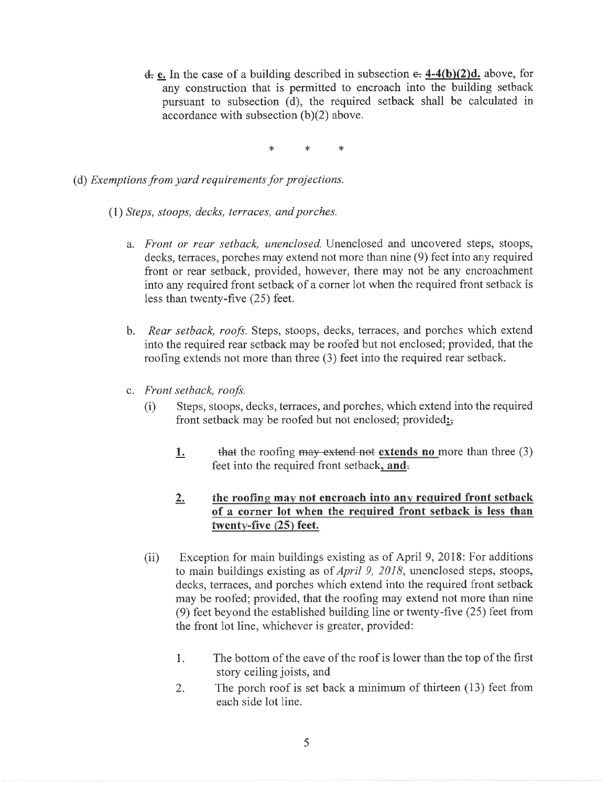$\frac{d}{dx}$  e. In the case of a building described in subsection  $\frac{d}{dx}$  4-4(b)(2)d. above, for any construction that is permitted to encroach into the building setback pursuant to subsection (d), the required setback shall be calculated in accordance with subsection  $(b)(2)$  above.

- (d) Exemptions from yard requirements for projections.
	- (1) Steps, stoops, decks, terraces, and porches.
		- a. Front or rear setback, unenclosed. Unenclosed and uncovered steps, stoops, decks, terraces, porches may extend not more than nine (9) feet into any required front or rear setback, provided, however, there may not be any encroachment into any required front setback of a corner lot when the required front setback is less than twenty-five (25) feet.
		- b. Rear setback, roofs. Steps, stoops, decks, terraces, and porches which extend into the required rear setback may be roofed but not enclosed; provided, that the roofing extends not more than three (3) feet into the required rear setback.
		- c. Front setback, roofs.
			- $(i)$ Steps, stoops, decks, terraces, and porches, which extend into the required front setback may be roofed but not enclosed; provided:
				- that the roofing may extend not extends no more than three  $(3)$  $1.$ feet into the required front setback, and.

## the roofing may not encroach into any required front setback  $2.$ of a corner lot when the required front setback is less than twenty-five (25) feet.

- Exception for main buildings existing as of April 9, 2018: For additions  $(ii)$ to main buildings existing as of *April 9, 2018*, unenclosed steps, stoops, decks, terraces, and porches which extend into the required front setback may be roofed; provided, that the roofing may extend not more than nine (9) feet beyond the established building line or twenty-five (25) feet from the front lot line, whichever is greater, provided:
	- The bottom of the eave of the roof is lower than the top of the first  $1.$ story ceiling joists, and
	- The porch roof is set back a minimum of thirteen  $(13)$  feet from  $2.$ each side lot line.